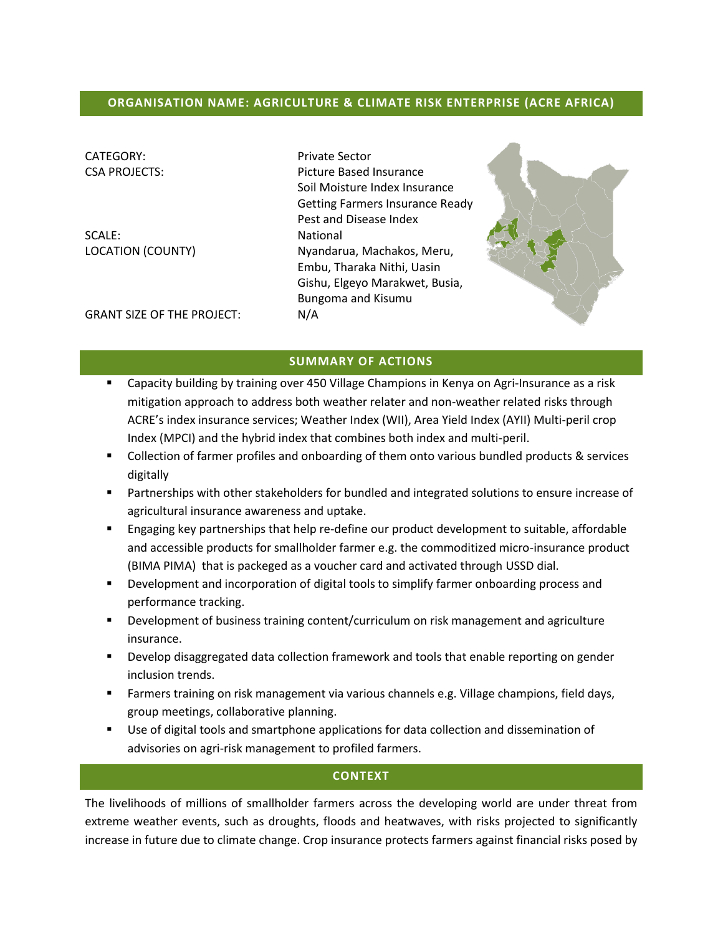## **ORGANISATION NAME: AGRICULTURE & CLIMATE RISK ENTERPRISE (ACRE AFRICA)**

| CATEGORY:                         | <b>Private Sector</b>                  |  |  |
|-----------------------------------|----------------------------------------|--|--|
| <b>CSA PROJECTS:</b>              | Picture Based Insurance                |  |  |
|                                   | Soil Moisture Index Insurance          |  |  |
|                                   | <b>Getting Farmers Insurance Ready</b> |  |  |
|                                   | Pest and Disease Index                 |  |  |
| SCALE:                            | National                               |  |  |
| <b>LOCATION (COUNTY)</b>          | Nyandarua, Machakos, Meru,             |  |  |
|                                   | Embu, Tharaka Nithi, Uasin             |  |  |
|                                   | Gishu, Elgeyo Marakwet, Busia,         |  |  |
|                                   | Bungoma and Kisumu                     |  |  |
| <b>GRANT SIZE OF THE PROJECT:</b> | N/A                                    |  |  |
|                                   |                                        |  |  |



#### **SUMMARY OF ACTIONS**

- Capacity building by training over 450 Village Champions in Kenya on Agri-Insurance as a risk mitigation approach to address both weather relater and non-weather related risks through ACRE's index insurance services; Weather Index (WII), Area Yield Index (AYII) Multi-peril crop Index (MPCI) and the hybrid index that combines both index and multi-peril.
- **Collection of farmer profiles and onboarding of them onto various bundled products & services** digitally
- Partnerships with other stakeholders for bundled and integrated solutions to ensure increase of agricultural insurance awareness and uptake.
- **Engaging key partnerships that help re-define our product development to suitable, affordable** and accessible products for smallholder farmer e.g. the commoditized micro-insurance product (BIMA PIMA) that is packeged as a voucher card and activated through USSD dial.
- **•** Development and incorporation of digital tools to simplify farmer onboarding process and performance tracking.
- **Development of business training content/curriculum on risk management and agriculture** insurance.
- **Develop disaggregated data collection framework and tools that enable reporting on gender** inclusion trends.
- Farmers training on risk management via various channels e.g. Village champions, field days, group meetings, collaborative planning.
- Use of digital tools and smartphone applications for data collection and dissemination of advisories on agri-risk management to profiled farmers.

## **CONTEXT**

The livelihoods of millions of smallholder farmers across the developing world are under threat from extreme weather events, such as droughts, floods and heatwaves, with risks projected to significantly increase in future due to climate change. Crop insurance protects farmers against financial risks posed by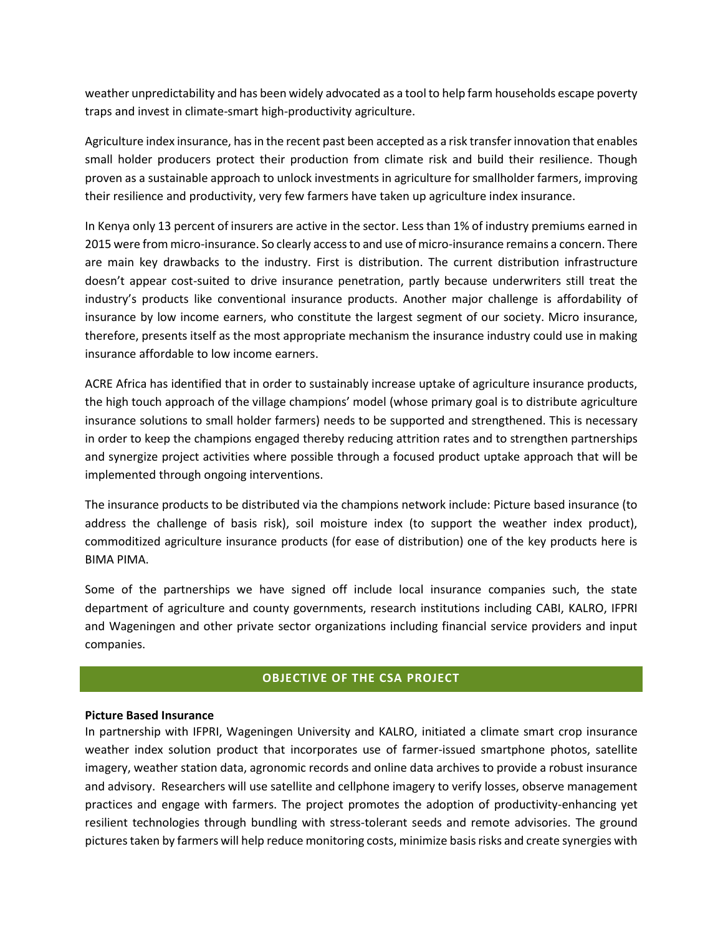weather unpredictability and has been widely advocated as a tool to help farm households escape poverty traps and invest in climate-smart high-productivity agriculture.

Agriculture index insurance, has in the recent past been accepted as a risk transfer innovation that enables small holder producers protect their production from climate risk and build their resilience. Though proven as a sustainable approach to unlock investments in agriculture for smallholder farmers, improving their resilience and productivity, very few farmers have taken up agriculture index insurance.

In Kenya only 13 percent of insurers are active in the sector. Less than 1% of industry premiums earned in 2015 were from micro-insurance. So clearly access to and use of micro-insurance remains a concern. There are main key drawbacks to the industry. First is distribution. The current distribution infrastructure doesn't appear cost-suited to drive insurance penetration, partly because underwriters still treat the industry's products like conventional insurance products. Another major challenge is affordability of insurance by low income earners, who constitute the largest segment of our society. Micro insurance, therefore, presents itself as the most appropriate mechanism the insurance industry could use in making insurance affordable to low income earners.

ACRE Africa has identified that in order to sustainably increase uptake of agriculture insurance products, the high touch approach of the village champions' model (whose primary goal is to distribute agriculture insurance solutions to small holder farmers) needs to be supported and strengthened. This is necessary in order to keep the champions engaged thereby reducing attrition rates and to strengthen partnerships and synergize project activities where possible through a focused product uptake approach that will be implemented through ongoing interventions.

The insurance products to be distributed via the champions network include: Picture based insurance (to address the challenge of basis risk), soil moisture index (to support the weather index product), commoditized agriculture insurance products (for ease of distribution) one of the key products here is BIMA PIMA.

Some of the partnerships we have signed off include local insurance companies such, the state department of agriculture and county governments, research institutions including CABI, KALRO, IFPRI and Wageningen and other private sector organizations including financial service providers and input companies.

## **OBJECTIVE OF THE CSA PROJECT**

#### **Picture Based Insurance**

In partnership with IFPRI, Wageningen University and KALRO, initiated a climate smart crop insurance weather index solution product that incorporates use of farmer-issued smartphone photos, satellite imagery, weather station data, agronomic records and online data archives to provide a robust insurance and advisory. Researchers will use satellite and cellphone imagery to verify losses, observe management practices and engage with farmers. The project promotes the adoption of productivity-enhancing yet resilient technologies through bundling with stress-tolerant seeds and remote advisories. The ground pictures taken by farmers will help reduce monitoring costs, minimize basis risks and create synergies with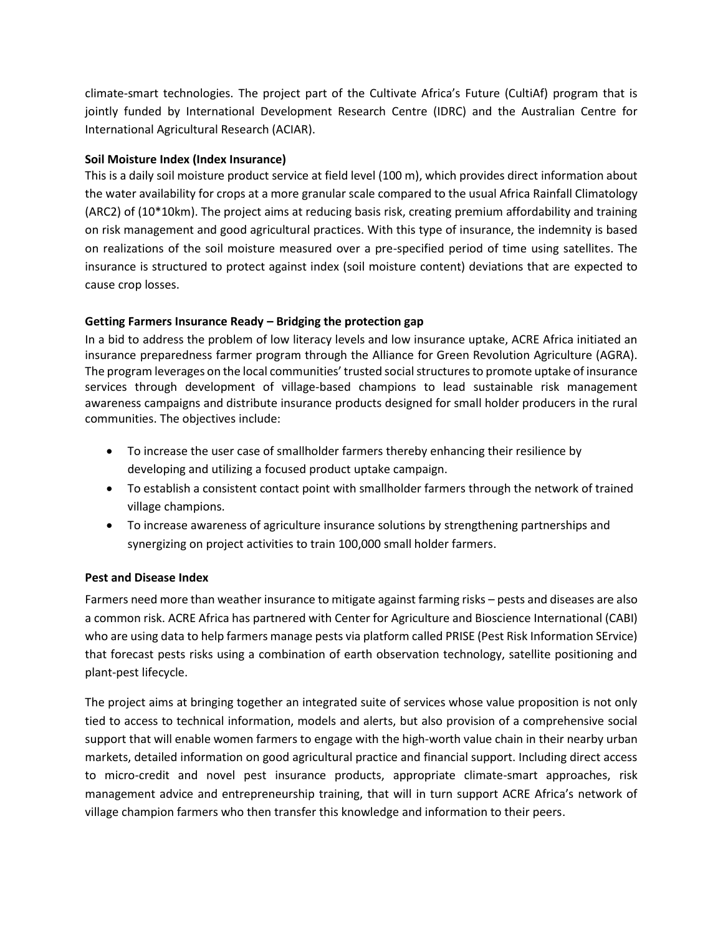climate-smart technologies. The project part of the Cultivate Africa's Future (CultiAf) program that is jointly funded by International Development Research Centre (IDRC) and the Australian Centre for International Agricultural Research (ACIAR).

### **Soil Moisture Index (Index Insurance)**

This is a daily soil moisture product service at field level (100 m), which provides direct information about the water availability for crops at a more granular scale compared to the usual Africa Rainfall Climatology (ARC2) of (10\*10km). The project aims at reducing basis risk, creating premium affordability and training on risk management and good agricultural practices. With this type of insurance, the indemnity is based on realizations of the soil moisture measured over a pre-specified period of time using satellites. The insurance is structured to protect against index (soil moisture content) deviations that are expected to cause crop losses.

## **Getting Farmers Insurance Ready – Bridging the protection gap**

In a bid to address the problem of low literacy levels and low insurance uptake, ACRE Africa initiated an insurance preparedness farmer program through the Alliance for Green Revolution Agriculture (AGRA). The program leverages on the local communities' trusted social structures to promote uptake of insurance services through development of village-based champions to lead sustainable risk management awareness campaigns and distribute insurance products designed for small holder producers in the rural communities. The objectives include:

- To increase the user case of smallholder farmers thereby enhancing their resilience by developing and utilizing a focused product uptake campaign.
- To establish a consistent contact point with smallholder farmers through the network of trained village champions.
- To increase awareness of agriculture insurance solutions by strengthening partnerships and synergizing on project activities to train 100,000 small holder farmers.

#### **Pest and Disease Index**

Farmers need more than weather insurance to mitigate against farming risks – pests and diseases are also a common risk. ACRE Africa has partnered with Center for Agriculture and Bioscience International (CABI) who are using data to help farmers manage pests via platform called PRISE (Pest Risk Information SErvice) that forecast pests risks using a combination of earth observation technology, satellite positioning and plant-pest lifecycle.

The project aims at bringing together an integrated suite of services whose value proposition is not only tied to access to technical information, models and alerts, but also provision of a comprehensive social support that will enable women farmers to engage with the high-worth value chain in their nearby urban markets, detailed information on good agricultural practice and financial support. Including direct access to micro-credit and novel pest insurance products, appropriate climate-smart approaches, risk management advice and entrepreneurship training, that will in turn support ACRE Africa's network of village champion farmers who then transfer this knowledge and information to their peers.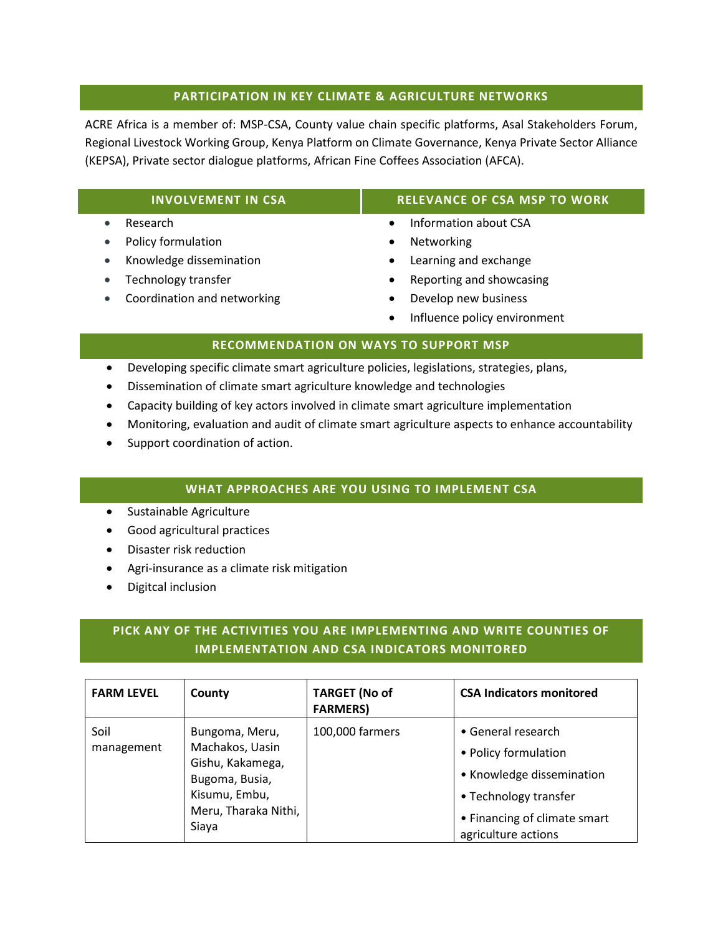### **PARTICIPATION IN KEY CLIMATE & AGRICULTURE NETWORKS**

ACRE Africa is a member of: MSP-CSA, County value chain specific platforms, Asal Stakeholders Forum, Regional Livestock Working Group, Kenya Platform on Climate Governance, Kenya Private Sector Alliance (KEPSA), Private sector dialogue platforms, African Fine Coffees Association (AFCA).

#### • Research

- Policy formulation
- Knowledge dissemination
- Technology transfer
- Coordination and networking

## **INVOLVEMENT IN CSA RELEVANCE OF CSA MSP TO WORK**

- Information about CSA
- Networking
- Learning and exchange
- Reporting and showcasing
- Develop new business
- Influence policy environment

## **RECOMMENDATION ON WAYS TO SUPPORT MSP**

- Developing specific climate smart agriculture policies, legislations, strategies, plans,
- Dissemination of climate smart agriculture knowledge and technologies
- Capacity building of key actors involved in climate smart agriculture implementation
- Monitoring, evaluation and audit of climate smart agriculture aspects to enhance accountability
- Support coordination of action.

## **WHAT APPROACHES ARE YOU USING TO IMPLEMENT CSA**

- Sustainable Agriculture
- Good agricultural practices
- Disaster risk reduction
- Agri-insurance as a climate risk mitigation
- Digitcal inclusion

# **PICK ANY OF THE ACTIVITIES YOU ARE IMPLEMENTING AND WRITE COUNTIES OF IMPLEMENTATION AND CSA INDICATORS MONITORED**

| <b>FARM LEVEL</b>  | County                                                                                                                    | <b>TARGET (No of</b><br><b>FARMERS)</b> | <b>CSA Indicators monitored</b>                                                                                                                         |
|--------------------|---------------------------------------------------------------------------------------------------------------------------|-----------------------------------------|---------------------------------------------------------------------------------------------------------------------------------------------------------|
| Soil<br>management | Bungoma, Meru,<br>Machakos, Uasin<br>Gishu, Kakamega,<br>Bugoma, Busia,<br>Kisumu, Embu,<br>Meru, Tharaka Nithi,<br>Siaya | 100,000 farmers                         | • General research<br>• Policy formulation<br>• Knowledge dissemination<br>• Technology transfer<br>• Financing of climate smart<br>agriculture actions |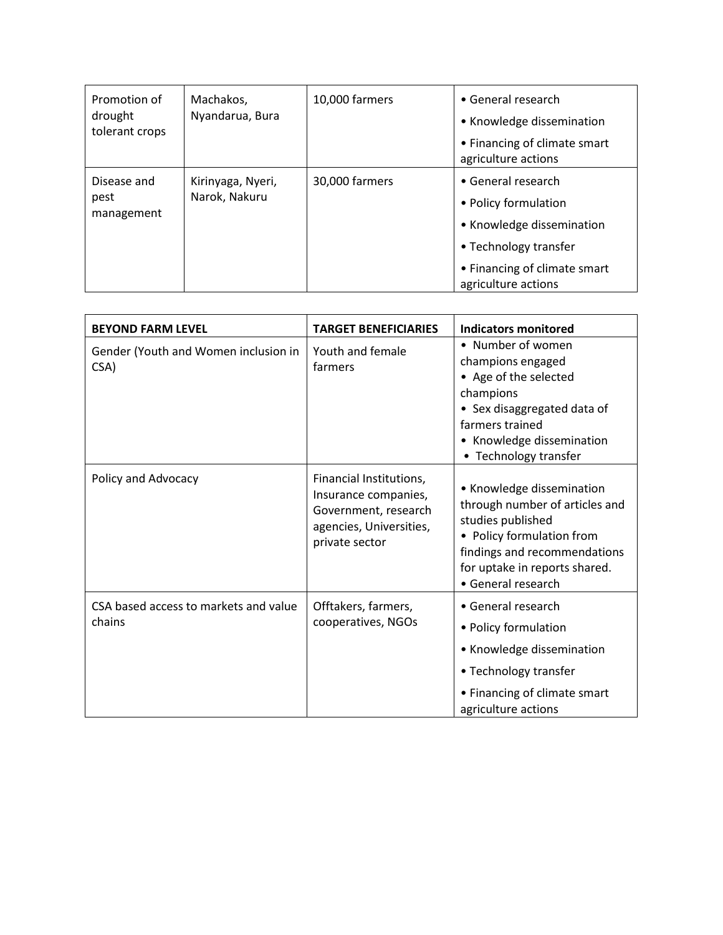| Promotion of<br>drought<br>tolerant crops | Machakos,<br>Nyandarua, Bura       | 10,000 farmers | • General research<br>• Knowledge dissemination<br>• Financing of climate smart<br>agriculture actions                                                  |
|-------------------------------------------|------------------------------------|----------------|---------------------------------------------------------------------------------------------------------------------------------------------------------|
| Disease and<br>pest<br>management         | Kirinyaga, Nyeri,<br>Narok, Nakuru | 30,000 farmers | • General research<br>• Policy formulation<br>• Knowledge dissemination<br>• Technology transfer<br>• Financing of climate smart<br>agriculture actions |

| <b>BEYOND FARM LEVEL</b>                        | <b>TARGET BENEFICIARIES</b>                                                                                          | Indicators monitored                                                                                                                                                                                 |
|-------------------------------------------------|----------------------------------------------------------------------------------------------------------------------|------------------------------------------------------------------------------------------------------------------------------------------------------------------------------------------------------|
| Gender (Youth and Women inclusion in<br>CSA)    | Youth and female<br>farmers                                                                                          | • Number of women<br>champions engaged<br>• Age of the selected<br>champions<br>• Sex disaggregated data of<br>farmers trained<br>• Knowledge dissemination<br>Technology transfer<br>$\bullet$      |
| Policy and Advocacy                             | Financial Institutions,<br>Insurance companies,<br>Government, research<br>agencies, Universities,<br>private sector | • Knowledge dissemination<br>through number of articles and<br>studies published<br>• Policy formulation from<br>findings and recommendations<br>for uptake in reports shared.<br>• General research |
| CSA based access to markets and value<br>chains | Offtakers, farmers,<br>cooperatives, NGOs                                                                            | • General research<br>• Policy formulation<br>• Knowledge dissemination<br>• Technology transfer<br>• Financing of climate smart<br>agriculture actions                                              |